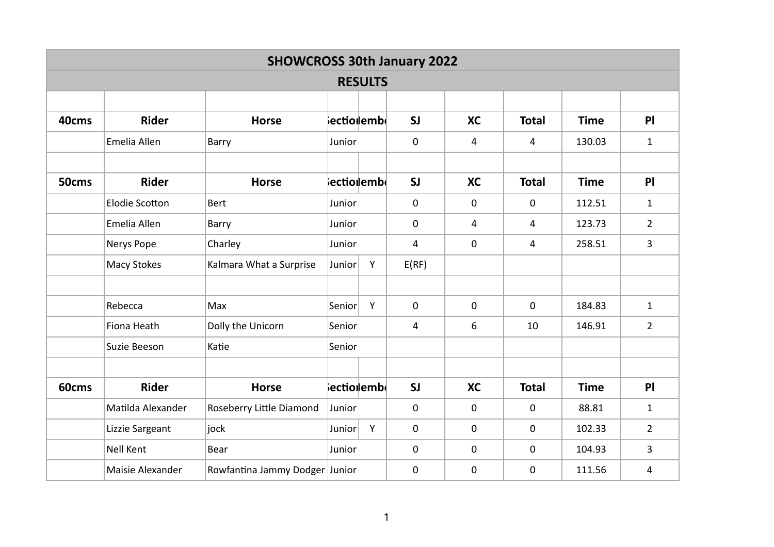|       | <b>SHOWCROSS 30th January 2022</b> |                                |                               |   |             |             |              |             |                |  |  |  |  |
|-------|------------------------------------|--------------------------------|-------------------------------|---|-------------|-------------|--------------|-------------|----------------|--|--|--|--|
|       | <b>RESULTS</b>                     |                                |                               |   |             |             |              |             |                |  |  |  |  |
|       |                                    |                                |                               |   |             |             |              |             |                |  |  |  |  |
| 40cms | <b>Rider</b>                       | <b>Horse</b>                   | ∤ectio∥emb                    |   | SI          | <b>XC</b>   | <b>Total</b> | <b>Time</b> | P              |  |  |  |  |
|       | Emelia Allen                       | Barry                          | Junior                        |   | $\mathbf 0$ | 4           | 4            | 130.03      | $1\,$          |  |  |  |  |
|       |                                    |                                |                               |   |             |             |              |             |                |  |  |  |  |
| 50cms | <b>Rider</b>                       | <b>Horse</b>                   | $ {\sf ecti}$ o $ {\sf emb} $ |   | SI          | <b>XC</b>   | <b>Total</b> | <b>Time</b> | PI             |  |  |  |  |
|       | <b>Elodie Scotton</b>              | <b>Bert</b>                    | Junior                        |   | $\mathbf 0$ | $\mathbf 0$ | $\mathbf 0$  | 112.51      | $1\,$          |  |  |  |  |
|       | Emelia Allen                       | Barry                          | Junior                        |   | 0           | 4           | 4            | 123.73      | $\overline{2}$ |  |  |  |  |
|       | Nerys Pope                         | Charley                        | Junior                        |   | 4           | $\mathbf 0$ | 4            | 258.51      | $\overline{3}$ |  |  |  |  |
|       | <b>Macy Stokes</b>                 | Kalmara What a Surprise        | <b>Junior</b>                 | Y | E(RF)       |             |              |             |                |  |  |  |  |
|       |                                    |                                |                               |   |             |             |              |             |                |  |  |  |  |
|       | Rebecca                            | Max                            | Senior                        | Y | 0           | $\mathbf 0$ | $\mathbf 0$  | 184.83      | $\mathbf{1}$   |  |  |  |  |
|       | Fiona Heath                        | Dolly the Unicorn              | Senior                        |   | 4           | 6           | 10           | 146.91      | $\overline{2}$ |  |  |  |  |
|       | Suzie Beeson                       | Katie                          | Senior                        |   |             |             |              |             |                |  |  |  |  |
|       |                                    |                                |                               |   |             |             |              |             |                |  |  |  |  |
| 60cms | <b>Rider</b>                       | <b>Horse</b>                   | ectiolemb                     |   | SI          | <b>XC</b>   | <b>Total</b> | <b>Time</b> | P              |  |  |  |  |
|       | Matilda Alexander                  | Roseberry Little Diamond       | Junior                        |   | 0           | $\mathbf 0$ | $\mathbf 0$  | 88.81       | $\mathbf{1}$   |  |  |  |  |
|       | Lizzie Sargeant                    | jock                           | Junior                        | Y | 0           | $\mathbf 0$ | $\pmb{0}$    | 102.33      | $\overline{2}$ |  |  |  |  |
|       | <b>Nell Kent</b>                   | Bear                           | Junior                        |   | 0           | $\mathbf 0$ | $\mathbf 0$  | 104.93      | $\overline{3}$ |  |  |  |  |
|       | Maisie Alexander                   | Rowfantina Jammy Dodger Junior |                               |   | $\pmb{0}$   | $\mathbf 0$ | $\mathbf 0$  | 111.56      | 4              |  |  |  |  |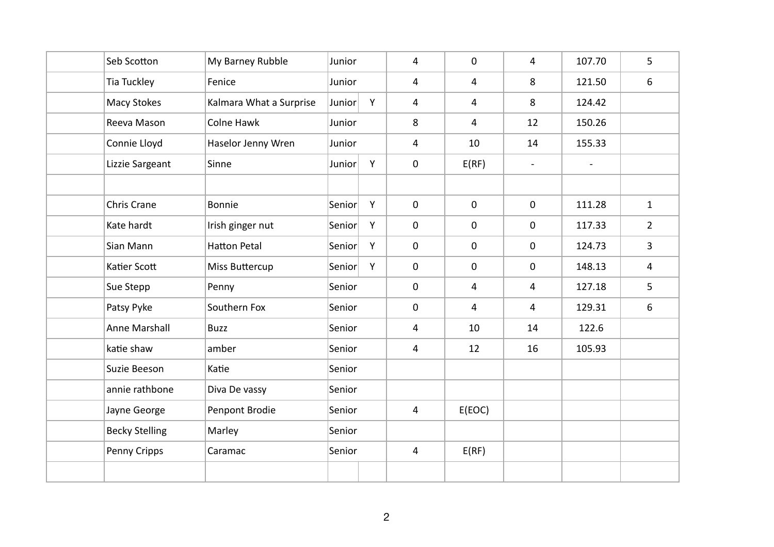| Seb Scotton           | My Barney Rubble        | Junior |   | $\overline{4}$ | $\mathsf{O}\xspace$ | $\overline{4}$           | 107.70         | 5                       |
|-----------------------|-------------------------|--------|---|----------------|---------------------|--------------------------|----------------|-------------------------|
| Tia Tuckley           | Fenice                  | Junior |   | 4              | $\overline{4}$      | 8                        | 121.50         | 6                       |
| <b>Macy Stokes</b>    | Kalmara What a Surprise | Junior | Y | $\overline{4}$ | $\overline{4}$      | 8                        | 124.42         |                         |
| Reeva Mason           | Colne Hawk              | Junior |   | 8              | $\overline{4}$      | 12                       | 150.26         |                         |
| Connie Lloyd          | Haselor Jenny Wren      | Junior |   | 4              | 10                  | 14                       | 155.33         |                         |
| Lizzie Sargeant       | Sinne                   | Junior | Y | $\mathbf 0$    | E(RF)               | $\overline{\phantom{a}}$ | $\blacksquare$ |                         |
|                       |                         |        |   |                |                     |                          |                |                         |
| Chris Crane           | Bonnie                  | Senior | Y | $\mathbf 0$    | $\mathbf 0$         | $\mathbf 0$              | 111.28         | $\mathbf 1$             |
| Kate hardt            | Irish ginger nut        | Senior | Y | $\mathbf 0$    | $\mathsf{O}\xspace$ | $\mathbf 0$              | 117.33         | $\overline{2}$          |
| Sian Mann             | <b>Hatton Petal</b>     | Senior | Y | $\mathbf 0$    | $\pmb{0}$           | $\mathbf 0$              | 124.73         | $\overline{\mathbf{3}}$ |
| Katier Scott          | <b>Miss Buttercup</b>   | Senior | Y | $\mathbf 0$    | $\mathbf 0$         | $\mathbf 0$              | 148.13         | 4                       |
| Sue Stepp             | Penny                   | Senior |   | $\mathbf 0$    | $\overline{4}$      | $\overline{4}$           | 127.18         | 5                       |
| Patsy Pyke            | Southern Fox            | Senior |   | $\mathbf 0$    | $\overline{4}$      | $\overline{4}$           | 129.31         | $\sqrt{6}$              |
| <b>Anne Marshall</b>  | <b>Buzz</b>             | Senior |   | 4              | 10                  | 14                       | 122.6          |                         |
| katie shaw            | amber                   | Senior |   | 4              | 12                  | 16                       | 105.93         |                         |
| Suzie Beeson          | Katie                   | Senior |   |                |                     |                          |                |                         |
| annie rathbone        | Diva De vassy           | Senior |   |                |                     |                          |                |                         |
| Jayne George          | Penpont Brodie          | Senior |   | $\overline{4}$ | E(EOC)              |                          |                |                         |
| <b>Becky Stelling</b> | Marley                  | Senior |   |                |                     |                          |                |                         |
| Penny Cripps          | Caramac                 | Senior |   | 4              | E(RF)               |                          |                |                         |
|                       |                         |        |   |                |                     |                          |                |                         |
|                       |                         |        |   |                |                     |                          |                |                         |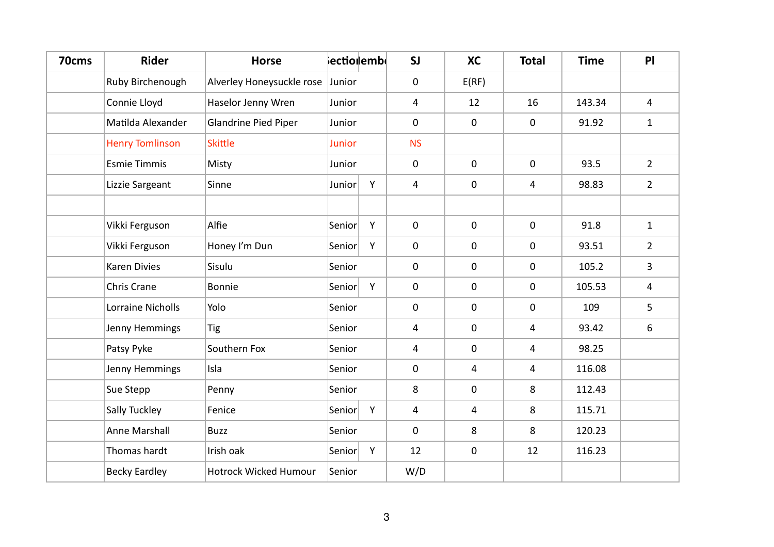| 70cms | <b>Rider</b>             | <b>Horse</b>                 |                        | <b>lectiollembl</b> | SI          | <b>XC</b>           | <b>Total</b> | <b>Time</b> | P              |
|-------|--------------------------|------------------------------|------------------------|---------------------|-------------|---------------------|--------------|-------------|----------------|
|       | Ruby Birchenough         | Alverley Honeysuckle rose    | Junior                 |                     | 0           | E(RF)               |              |             |                |
|       | Connie Lloyd             | Haselor Jenny Wren           | Junior                 |                     | 4           | 12                  | 16           | 143.34      | $\overline{4}$ |
|       | Matilda Alexander        | <b>Glandrine Pied Piper</b>  | Junior                 |                     | 0           | $\mathbf 0$         | $\pmb{0}$    | 91.92       | $1\,$          |
|       | <b>Henry Tomlinson</b>   | <b>Skittle</b>               | <b>Junior</b>          |                     | <b>NS</b>   |                     |              |             |                |
|       | <b>Esmie Timmis</b>      | Misty                        | Junior                 |                     | 0           | $\mathsf{O}\xspace$ | $\pmb{0}$    | 93.5        | $\overline{2}$ |
|       | Lizzie Sargeant          | Sinne                        | Junior                 | Y                   | 4           | $\mathbf 0$         | 4            | 98.83       | $2^{\circ}$    |
|       |                          |                              |                        |                     |             |                     |              |             |                |
|       | Vikki Ferguson           | Alfie                        | Senior                 | Y                   | 0           | $\mathbf 0$         | $\mathbf 0$  | 91.8        | $\mathbf{1}$   |
|       | Vikki Ferguson           | Honey I'm Dun                | $\vert$ Senior $\vert$ | Y                   | $\pmb{0}$   | $\mathbf 0$         | $\pmb{0}$    | 93.51       | $\overline{2}$ |
|       | <b>Karen Divies</b>      | Sisulu                       | Senior                 |                     | 0           | $\boldsymbol{0}$    | $\mathbf 0$  | 105.2       | $\overline{3}$ |
|       | Chris Crane              | Bonnie                       | Senior                 | Y                   | 0           | $\boldsymbol{0}$    | $\mathbf 0$  | 105.53      | 4              |
|       | <b>Lorraine Nicholls</b> | Yolo                         | Senior                 |                     | 0           | $\mathbf 0$         | $\mathbf 0$  | 109         | 5              |
|       | Jenny Hemmings           | Tig                          | Senior                 |                     | 4           | $\mathbf 0$         | 4            | 93.42       | 6              |
|       | Patsy Pyke               | Southern Fox                 | Senior                 |                     | 4           | $\mathbf 0$         | 4            | 98.25       |                |
|       | Jenny Hemmings           | Isla                         | Senior                 |                     | 0           | 4                   | 4            | 116.08      |                |
|       | Sue Stepp                | Penny                        | Senior                 |                     | 8           | $\mathsf{O}\xspace$ | 8            | 112.43      |                |
|       | Sally Tuckley            | Fenice                       | Senior                 | Y                   | 4           | $\overline{4}$      | 8            | 115.71      |                |
|       | Anne Marshall            | <b>Buzz</b>                  | Senior                 |                     | $\mathbf 0$ | 8                   | 8            | 120.23      |                |
|       | Thomas hardt             | Irish oak                    | Senior                 | Y                   | 12          | $\mathbf 0$         | 12           | 116.23      |                |
|       | <b>Becky Eardley</b>     | <b>Hotrock Wicked Humour</b> | Senior                 |                     | W/D         |                     |              |             |                |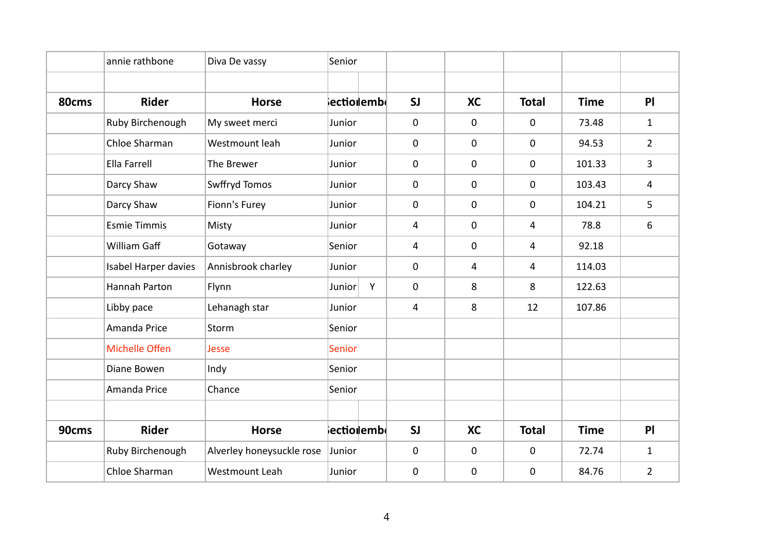|       | annie rathbone       | Diva De vassy             | Senior        |                                     |             |                |                |             |                 |
|-------|----------------------|---------------------------|---------------|-------------------------------------|-------------|----------------|----------------|-------------|-----------------|
|       |                      |                           |               |                                     |             |                |                |             |                 |
| 80cms | <b>Rider</b>         | <b>Horse</b>              |               | $ \mathsf{ecti}$ o $ \mathsf{emb} $ | SI          | <b>XC</b>      | <b>Total</b>   | <b>Time</b> | P               |
|       | Ruby Birchenough     | My sweet merci            | Junior        |                                     | $\mathbf 0$ | $\mathbf 0$    | 0              | 73.48       | $\mathbf{1}$    |
|       | Chloe Sharman        | Westmount leah            | Junior        |                                     | $\mathbf 0$ | $\mathbf 0$    | 0              | 94.53       | $\overline{2}$  |
|       | Ella Farrell         | The Brewer                | Junior        |                                     | $\mathbf 0$ | $\pmb{0}$      | $\mathbf 0$    | 101.33      | $\overline{3}$  |
|       | Darcy Shaw           | Swffryd Tomos             | Junior        |                                     | $\mathbf 0$ | $\mathbf 0$    | $\mathbf 0$    | 103.43      | 4               |
|       | Darcy Shaw           | Fionn's Furey             | Junior        |                                     | $\mathbf 0$ | $\mathbf 0$    | 0              | 104.21      | $5\overline{)}$ |
|       | <b>Esmie Timmis</b>  | Misty                     | Junior        |                                     | 4           | $\mathbf 0$    | $\overline{4}$ | 78.8        | 6               |
|       | William Gaff         | Gotaway                   | Senior        |                                     | 4           | $\mathbf 0$    | $\overline{4}$ | 92.18       |                 |
|       | Isabel Harper davies | Annisbrook charley        | Junior        |                                     | $\mathbf 0$ | $\overline{4}$ | $\overline{4}$ | 114.03      |                 |
|       | Hannah Parton        | Flynn                     | Junior        | Y                                   | $\mathbf 0$ | 8              | 8              | 122.63      |                 |
|       | Libby pace           | Lehanagh star             | Junior        |                                     | 4           | 8              | 12             | 107.86      |                 |
|       | Amanda Price         | Storm                     | Senior        |                                     |             |                |                |             |                 |
|       | Michelle Offen       | Jesse                     | <b>Senior</b> |                                     |             |                |                |             |                 |
|       | Diane Bowen          | Indy                      | Senior        |                                     |             |                |                |             |                 |
|       | Amanda Price         | Chance                    | Senior        |                                     |             |                |                |             |                 |
|       |                      |                           |               |                                     |             |                |                |             |                 |
| 90cms | <b>Rider</b>         | <b>Horse</b>              |               | ectiolembl                          | SI          | <b>XC</b>      | <b>Total</b>   | <b>Time</b> | P               |
|       | Ruby Birchenough     | Alverley honeysuckle rose | Junior        |                                     | $\mathbf 0$ | $\mathbf 0$    | $\mathbf 0$    | 72.74       | $\mathbf{1}$    |
|       | Chloe Sharman        | Westmount Leah            | Junior        |                                     | $\mathbf 0$ | 0              | $\mathbf 0$    | 84.76       | $\overline{2}$  |